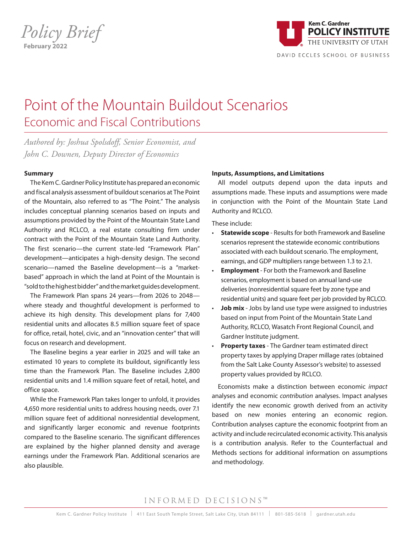*Policy Brief* **February 2022** 



# Point of the Mountain Buildout Scenarios Economic and Fiscal Contributions

*Authored by: Joshua Spolsdoff, Senior Economist, and John C. Downen, Deputy Director of Economics*

#### **Summary**

The Kem C. Gardner Policy Institute has prepared an economic and fiscal analysis assessment of buildout scenarios at The Point of the Mountain, also referred to as "The Point." The analysis includes conceptual planning scenarios based on inputs and assumptions provided by the Point of the Mountain State Land Authority and RCLCO, a real estate consulting firm under contract with the Point of the Mountain State Land Authority. The first scenario—the current state-led "Framework Plan" development—anticipates a high-density design. The second scenario—named the Baseline development—is a "marketbased" approach in which the land at Point of the Mountain is "sold to the highest bidder" and the market guides development.

The Framework Plan spans 24 years—from 2026 to 2048 where steady and thoughtful development is performed to achieve its high density. This development plans for 7,400 residential units and allocates 8.5 million square feet of space for office, retail, hotel, civic, and an "innovation center" that will focus on research and development.

The Baseline begins a year earlier in 2025 and will take an estimated 10 years to complete its buildout, significantly less time than the Framework Plan. The Baseline includes 2,800 residential units and 1.4 million square feet of retail, hotel, and office space.

While the Framework Plan takes longer to unfold, it provides 4,650 more residential units to address housing needs, over 7.1 million square feet of additional nonresidential development, and significantly larger economic and revenue footprints compared to the Baseline scenario. The significant differences are explained by the higher planned density and average earnings under the Framework Plan. Additional scenarios are also plausible.

#### **Inputs, Assumptions, and Limitations**

All model outputs depend upon the data inputs and assumptions made. These inputs and assumptions were made in conjunction with the Point of the Mountain State Land Authority and RCLCO.

These include:

- **Statewide scope**  Results for both Framework and Baseline scenarios represent the statewide economic contributions associated with each buildout scenario. The employment, earnings, and GDP multipliers range between 1.3 to 2.1.
- **Employment** For both the Framework and Baseline scenarios, employment is based on annual land-use deliveries (nonresidential square feet by zone type and residential units) and square feet per job provided by RCLCO.
- **Job mix** Jobs by land use type were assigned to industries based on input from Point of the Mountain State Land Authority, RCLCO, Wasatch Front Regional Council, and Gardner Institute judgment.
- **Property taxes**  The Gardner team estimated direct property taxes by applying Draper millage rates (obtained from the Salt Lake County Assessor's website) to assessed property values provided by RCLCO.

Economists make a distinction between economic *impact* analyses and economic *contribution* analyses. Impact analyses identify the new economic growth derived from an activity based on new monies entering an economic region. Contribution analyses capture the economic footprint from an activity and include recirculated economic activity. This analysis is a contribution analysis. Refer to the Counterfactual and Methods sections for additional information on assumptions and methodology.

## INFORMED DECISIONS™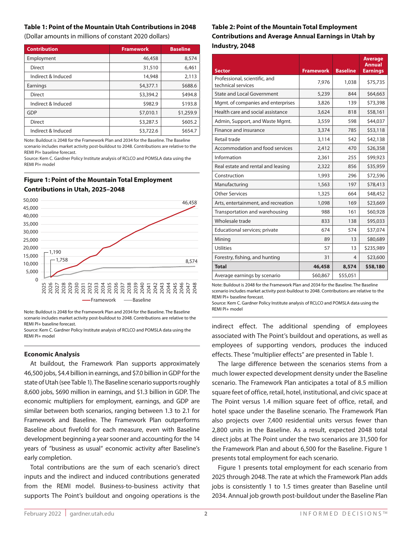#### **Table 1: Point of the Mountain Utah Contributions in 2048**

(Dollar amounts in millions of constant 2020 dollars)

| <b>Contribution</b> | <b>Framework</b> | <b>Baseline</b> |
|---------------------|------------------|-----------------|
| Employment          | 46,458           | 8,574           |
| Direct              | 31,510           | 6,461           |
| Indirect & Induced  | 14,948           | 2,113           |
| Earnings            | \$4,377.1        | \$688.6         |
| <b>Direct</b>       | \$3,394.2        | \$494.8         |
| Indirect & Induced  | \$982.9          | \$193.8         |
| GDP                 | \$7,010.1        | \$1,259.9       |
| <b>Direct</b>       | \$3,287.5        | \$605.2         |
| Indirect & Induced  | \$3,722.6        | \$654.7         |

Note: Buildout is 2048 for the Framework Plan and 2034 for the Baseline. The Baseline scenario includes market activity post-buildout to 2048. Contributions are relative to the REMI PI+ baseline forecast.

Source: Kem C. Gardner Policy Institute analysis of RCLCO and POMSLA data using the REMI PI+ model

## **Figure 1: Point of the Mountain Total Employment Contributions in Utah, 2025–2048**



Note: Buildout is 2048 for the Framework Plan and 2034 for the Baseline. The Baseline scenario includes market activity post-buildout to 2048. Contributions are relative to the REMI PI+ baseline forecast.

Source: Kem C. Gardner Policy Institute analysis of RCLCO and POMSLA data using the REMI PI+ model

#### **Economic Analysis**

 $M_{\rm{max}}$  and enterprises and enterprises and enterprises and enterprises and enterprises and enterprises and

At buildout, the Framework Plan supports approximately 46,500 jobs, \$4.4 billion in earnings, and \$7.0 billion in GDP for the state of Utah (see Table 1). The Baseline scenario supports roughly 8,600 jobs, \$690 million in earnings, and \$1.3 billion in GDP. The economic multipliers for employment, earnings, and GDP are similar between both scenarios, ranging between 1.3 to 2.1 for Framework and Baseline. The Framework Plan outperforms Baseline about fivefold for each measure, even with Baseline development beginning a year sooner and accounting for the 14 years of "business as usual" economic activity after Baseline's early completion. Manufacturing Finance and insurance

Total contributions are the sum of each scenario's direct Mining inputs and the indirect and induced contributions generated from the REMI model. Business-to-business activity that supports The Point's buildout and ongoing operations is the Utilities

## **Table 2: Point of the Mountain Total Employment Contributions and Average Annual Earnings in Utah by Industry, 2048**

| <b>Sector</b>                                       | <b>Framework</b> | <b>Baseline</b> | <b>Average</b><br>Annual<br><b>Earnings</b> |
|-----------------------------------------------------|------------------|-----------------|---------------------------------------------|
| Professional, scientific, and<br>technical services | 7,976            | 1,038           | \$75,735                                    |
| <b>State and Local Government</b>                   | 5,239            | 844             | \$64,663                                    |
| Mgmt. of companies and enterprises                  | 3,826            | 139             | \$73,398                                    |
| Health care and social assistance                   | 3,624            | 818             | \$58,161                                    |
| Admin, Support, and Waste Mgmt.                     | 3,559            | 598             | \$44,037                                    |
| Finance and insurance                               | 3,374            | 785             | \$53,118                                    |
| Retail trade                                        | 3,114            | 542             | \$42,138                                    |
| Accommodation and food services                     | 2,412            | 470             | \$26,358                                    |
| Information                                         | 2,361            | 255             | \$99,923                                    |
| Real estate and rental and leasing                  | 2,322            | 856             | \$35,959                                    |
| Construction                                        | 1,993            | 296             | \$72,596                                    |
| Manufacturing                                       | 1,563            | 197             | \$78,413                                    |
| <b>Other Services</b>                               | 1,325            | 664             | \$48,452                                    |
| Arts, entertainment, and recreation                 | 1,098            | 169             | \$23,669                                    |
| Transportation and warehousing                      | 988              | 161             | \$60,928                                    |
| Wholesale trade                                     | 833              | 138             | \$95,033                                    |
| Educational services; private                       | 674              | 574             | \$37,074                                    |
| Mining                                              | 89               | 13              | \$80,689                                    |
| <b>Utilities</b>                                    | 57               | 13              | \$235,989                                   |
| Forestry, fishing, and hunting                      | 31               | 4               | \$23,600                                    |
| <b>Total</b>                                        | 46,458           | 8,574           | \$58,180                                    |
| Average earnings by scenario                        | \$60,867         | \$55,051        |                                             |

Note: Buildout is 2048 for the Framework Plan and 2034 for the Baseline. The Baseline<br>scenario includes market activity post-buildout to 2048. Contributions are relative to the Note: Buildout is 2048 for the Framework Plan and 2034 for the Baseline. The Baseline REMI PI+ baseline forecast.

הבהיה היה בספרות הסוכנוס.<br>Source: Kem C. Gardner Policy Institute analysis of RCLCO and POMSLA data using the REMI PI+ model

indirect effect. The additional spending of employees associated with The Point's buildout and operations, as well as employees of supporting vendors, produces the induced effects. These "multiplier effects" are presented in Table 1.

The large difference between the scenarios stems from a much lower expected development density under the Baseline scenario. The Framework Plan anticipates a total of 8.5 million square feet of office, retail, hotel, institutional, and civic space at The Point versus 1.4 million square feet of office, retail, and hotel space under the Baseline scenario. The Framework Plan also projects over 7,400 residential units versus fewer than 2,800 units in the Baseline. As a result, expected 2048 total direct jobs at The Point under the two scenarios are 31,500 for the Framework Plan and about 6,500 for the Baseline. Figure 1 presents total employment for each scenario.

Figure 1 presents total employment for each scenario from 2025 through 2048. The rate at which the Framework Plan adds jobs is consistently 1 to 1.5 times greater than Baseline until 0.0% 2.0% 4.0% 6.0% 8.0% 10.0% 12.0% 14.0% 16.0% 18.0% 20.0% 2034. Annual job growth post-buildout under the Baseline Plan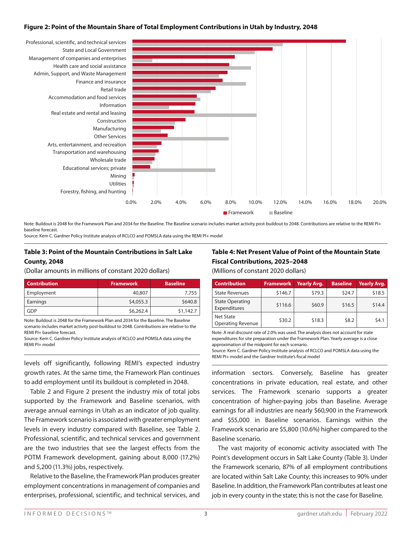#### **Figure 2: Point of the Mountain Share of Total Employment Contributions in Utah by Industry, 2048**



Note: Buildout is 2048 for the Framework Plan and 2034 for the Baseline. The Baseline scenario includes market activity post-buildout to 2048. Contributions are relative to the REMI PI+ baseline forecast.

Source: Kem C. Gardner Policy Institute analysis of RCLCO and POMSLA data using the REMI PI+ model

#### **Table 3: Point of the Mountain Contributions in Salt Lake County, 2048**

(Dollar amounts in millions of constant 2020 dollars)

| <b>Contribution</b> | <b>Framework</b> | <b>Baseline</b> |
|---------------------|------------------|-----------------|
| Employment          | 40,807           | 7.755           |
| Earnings            | \$4,055.3        | \$640.8         |
| GDP                 | \$6,262.4        | \$1,142.7       |

Note: Buildout is 2048 for the Framework Plan and 2034 for the Baseline. The Baseline scenario includes market activity post-buildout to 2048. Contributions are relative to the REMI PI+ baseline forecast.

Source: Kem C. Gardner Policy Institute analysis of RCLCO and POMSLA data using the REMI PI+ model

levels off significantly, following REMI's expected industry growth rates. At the same time, the Framework Plan continues to add employment until its buildout is completed in 2048.

Table 2 and Figure 2 present the industry mix of total jobs supported by the Framework and Baseline scenarios, with average annual earnings in Utah as an indicator of job quality. The Framework scenario is associated with greater employment levels in every industry compared with Baseline, see Table 2. Professional, scientific, and technical services and government are the two industries that see the largest effects from the POTM Framework development, gaining about 8,000 (17.2%) and 5,200 (11.3%) jobs, respectively.

Relative to the Baseline, the Framework Plan produces greater employment concentrations in management of companies and enterprises, professional, scientific, and technical services, and

## **Table 4: Net Present Value of Point of the Mountain State Fiscal Contributions, 2025–2048** (Millions of constant 2020 dollars)

| <b>Contribution</b>                          | <b>Framework</b> | <b>Yearly Avg.</b> | <b>Baseline</b> | Yearly Avg. |
|----------------------------------------------|------------------|--------------------|-----------------|-------------|
|                                              |                  |                    |                 |             |
| <b>State Revenues</b>                        | \$146.7          | \$79.3             | \$24.7          | \$18.5      |
| <b>State Operating</b><br>Expenditures       | \$116.6          | \$60.9             | \$16.5          | \$14.4      |
| <b>Net State</b><br><b>Operating Revenue</b> | \$30.2           | \$18.3             | \$8.2           | 54.1        |

Note: A real discount rate of 2.0% was used. The analysis does not account for state expenditures for site preparation under the Framework Plan. Yearly average is a close approximation of the midpoint for each scenario.

Source: Kem C. Gardner Policy Institute analysis of RCLCO and POMSLA data using the REMI PI+ model and the Gardner Institute's fiscal model

information sectors. Conversely, Baseline has greater concentrations in private education, real estate, and other services. The Framework scenario supports a greater concentration of higher-paying jobs than Baseline. Average earnings for all industries are nearly \$60,900 in the Framework and \$55,000 in Baseline scenarios. Earnings within the Framework scenario are \$5,800 (10.6%) higher compared to the Baseline scenario.

The vast majority of economic activity associated with The Point's development occurs in Salt Lake County (Table 3). Under the Framework scenario, 87% of all employment contributions are located within Salt Lake County; this increases to 90% under Baseline. In addition, the Framework Plan contributes at least one job in every county in the state; this is not the case for Baseline.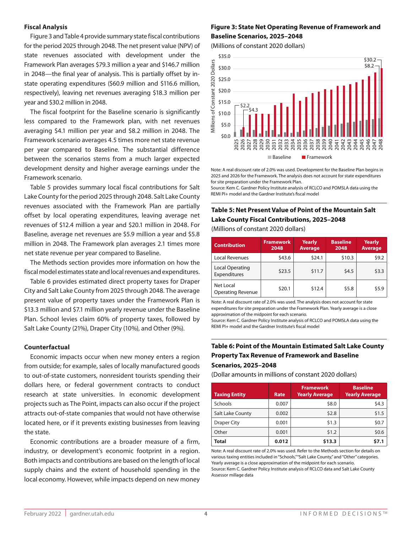#### **Fiscal Analysis**

Figure 3 and Table 4 provide summary state fiscal contributions for the period 2025 through 2048. The net present value (NPV) of state revenues associated with development under the Framework Plan averages \$79.3 million a year and \$146.7 million in 2048-the final year of analysis. This is partially offset by instate operating expenditures (\$60.9 million and \$116.6 million, respectively), leaving net revenues averaging \$18.3 million per year and \$30.2 million in 2048.

The fiscal footprint for the Baseline scenario is significantly  $\frac{8}{5} \times 100 = 52.2$ <br>The fiscal footprint for the Baseline scenario is significantly  $\frac{8}{5} \times 10.0 = 52.2$ less compared to the Framework plan, with net revenues averaging \$4.1 million per year and \$8.2 million in 2048. The Framework scenario averages 4.5 times more net state revenue 0 Framework scenario averages 4.5 times more net state revenue<br>per year compared to Baseline. The substantial difference between the scenarios stems from a much larger expected development density and higher average earnings under the Framework scenario.

Table 5 provides summary local fiscal contributions for Salt Lake County for the period 2025 through 2048. Salt Lake County revenues associated with the Framework Plan are partially offset by local operating expenditures, leaving average net revenues of \$12.4 million a year and \$20.1 million in 2048. For Baseline, average net revenues are \$5.9 million a year and \$5.8 million in 2048. The Framework plan averages 2.1 times more net state revenue per year compared to Baseline. Reference per year compare  $\frac{1}{2}$ 

The Methods section provides more information on how the fiscal model estimates state and local revenues and expenditures.

Table 6 provides estimated direct property taxes for Draper City and Salt Lake County from 2025 through 2048. The average present value of property taxes under the Framework Plan is  $$13.3$  million and  $$7.1$  million yearly revenue under the Baseline Plan. School levies claim 60% of property taxes, followed by Salt Lake County (21%), Draper City (10%), and Other (9%). Transportation and warehousing

#### **Counterfactual**

Economic impacts occur when new money enters a region from outside; for example, sales of locally manufactured goods to out-of-state customers, nonresident tourists spending their dollars here, or federal government contracts to conduct research at state universities. In economic development projects such as The Point, impacts can also occur if the project attracts out-of-state companies that would not have otherwise located here, or if it prevents existing businesses from leaving the state.

Economic contributions are a broader measure of a firm, industry, or development's economic footprint in a region. Both impacts and contributions are based on the length of local supply chains and the extent of household spending in the local economy. However, while impacts depend on new money

#### **Figure 3: State Net Operating Revenue of Framework and Baseline Scenarios, 2025–2048**

(Millions of constant 2020 dollars)



Note: A real discount rate of 2.0% was used. Development for the Baseline Plan begins in 2025 and 2026 for the Framework. The analysis does not account for state expenditures for site preparation under the Framework Plan.

Source: Kem C. Gardner Policy Institute analysis of RCLCO and POMSLA data using the REMI PI+ model and the Gardner Institute's fiscal model

## **Table 5: Net Present Value of Point of the Mountain Salt Lake County Fiscal Contributions, 2025–2048**

(Millions of constant 2020 dollars)

| <b>Contribution</b>                   | <b>Framework</b><br>2048 | <b>Yearly</b><br><b>Average</b> | <b>Baseline</b><br>2048 | <b>Yearly</b><br><b>Average</b> |
|---------------------------------------|--------------------------|---------------------------------|-------------------------|---------------------------------|
| Local Revenues                        | \$43.6                   | \$24.1                          | \$10.3                  | \$9.2                           |
| Local Operating<br>Expenditures       | \$23.5                   | \$11.7                          | \$4.5                   | \$3.3                           |
| Net Local<br><b>Operating Revenue</b> | \$20.1                   | \$12.4                          | \$5.8                   | \$5.9                           |

Note: A real discount rate of 2.0% was used. The analysis does not account for state expenditures for site preparation under the Framework Plan. Yearly average is a close approximation of the midpoint for each scenario.

Source: Kem C. Gardner Policy Institute analysis of RCLCO and POMSLA data using the REMI PI+ model and the Gardner Institute's fiscal model

## 0.0% 2.0% 4.0% 6.0% 8.0% 10.0% 12.0% 14.0% 16.0% 18.0% 20.0% **Table 6: Point of the Mountain Estimated Salt Lake County Property Tax Revenue of Framework and Baseline Scenarios, 2025–2048**

(Dollar amounts in millions of constant 2020 dollars)

| <b>Taxing Entity</b> | <b>Rate</b> | <b>Framework</b><br><b>Yearly Average</b> | <b>Baseline</b><br><b>Yearly Average</b> |
|----------------------|-------------|-------------------------------------------|------------------------------------------|
| Schools              | 0.007       | \$8.0                                     | \$4.3                                    |
| Salt Lake County     | 0.002       | \$2.8                                     | \$1.5                                    |
| <b>Draper City</b>   | 0.001       | \$1.3                                     | \$0.7                                    |
| Other                | 0.001       | \$1.2                                     | \$0.6                                    |
| <b>Total</b>         | 0.012       | \$13.3                                    | \$7.1                                    |

Note: A real discount rate of 2.0% was used. Refer to the Methods section for details on various taxing entities included in "Schools," "Salt Lake County," and "Other" categories. Yearly average is a close approximation of the midpoint for each scenario. Source: Kem C. Gardner Policy Institute analysis of RCLCO data and Salt Lake County Assessor millage data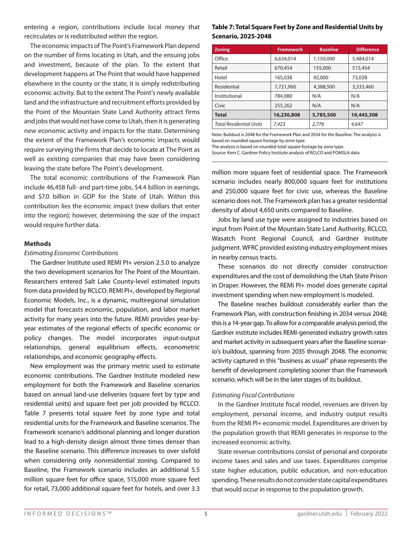entering a region, contributions include local money that recirculates or is redistributed within the region.

The economic impacts of The Point's Framework Plan depend on the number of firms locating in Utah, and the ensuing jobs and investment, because of the plan. To the extent that development happens at The Point that would have happened elsewhere in the county or the state, it is simply redistributing economic activity. But to the extent The Point's newly available land and the infrastructure and recruitment efforts provided by the Point of the Mountain State Land Authority attract firms and jobs that would not have come to Utah, then it is generating new economic activity and impacts for the state. Determining the extent of the Framework Plan's economic impacts would require surveying the firms that decide to locate at The Point as well as existing companies that may have been considering leaving the state before The Point's development.

The total economic contributions of the Framework Plan include 46,458 full- and part-time jobs, \$4.4 billion in earnings, and \$7.0 billion in GDP for the State of Utah. Within this contribution lies the economic impact (new dollars that enter into the region); however, determining the size of the impact would require further data.

#### **Methods**

#### *Estimating Economic Contributions*

The Gardner Institute used REMI PI+ version 2.5.0 to analyze the two development scenarios for The Point of the Mountain. Researchers entered Salt Lake County-level estimated inputs from data provided by RCLCO. REMI PI+, developed by Regional Economic Models, Inc., is a dynamic, multiregional simulation model that forecasts economic, population, and labor market activity for many years into the future. REMI provides year-byyear estimates of the regional effects of specific economic or policy changes. The model incorporates input-output relationships, general equilibrium effects, econometric relationships, and economic geography effects.

New employment was the primary metric used to estimate economic contributions. The Gardner Institute modeled new employment for both the Framework and Baseline scenarios based on annual land-use deliveries (square feet by type and residential units) and square feet per job provided by RCLCO. Table 7 presents total square feet by zone type and total residential units for the Framework and Baseline scenarios. The Framework scenario's additional planning and longer duration lead to a high-density design almost three times denser than the Baseline scenario. This difference increases to over sixfold when considering only nonresidential zoning. Compared to Baseline, the Framework scenario includes an additional 5.5 million square feet for office space, 515,000 more square feet for retail, 73,000 additional square feet for hotels, and over 3.3

## **Table 7: Total Square Feet by Zone and Residential Units by Scenario, 2025-2048**

| <b>Zoning</b>           | <b>Framework</b> | <b>Baseline</b> | <b>Difference</b> |
|-------------------------|------------------|-----------------|-------------------|
| Office                  | 6,634,014        | 1,150,000       | 5,484,014         |
| Retail                  | 670,454          | 155,000         | 515,454           |
| Hotel                   | 165,038          | 92,000          | 73,038            |
| Residential             | 7,721,960        | 4,388,500       | 3,333,460         |
| Institutional           | 784,080          | N/A             | N/A               |
| Civic                   | 255,262          | N/A             | N/A               |
| <b>Total</b>            | 16,230,808       | 5,785,500       | 10,445,308        |
| Total Residential Units | 7,423            | 2,776           | 4,647             |

Note: Buildout is 2048 for the Framework Plan and 2034 for the Baseline. The analysis is based on rounded square footage by zone type.

Source: Kem C. Gardner Policy Institute analysis of RCLCO and POMSLA data

million more square feet of residential space. The Framework scenario includes nearly 800,000 square feet for institutions and 250,000 square feet for civic use, whereas the Baseline scenario does not. The Framework plan has a greater residential density of about 4,650 units compared to Baseline.

Jobs by land use type were assigned to industries based on input from Point of the Mountain State Land Authority, RCLCO, Wasatch Front Regional Council, and Gardner Institute judgment. WFRC provided existing industry employment mixes in nearby census tracts.

These scenarios do not directly consider construction expenditures and the cost of demolishing the Utah State Prison in Draper. However, the REMI PI+ model does generate capital investment spending when new employment is modeled.

The Baseline reaches buildout considerably earlier than the Framework Plan, with construction finishing in 2034 versus 2048; this is a 14-year gap. To allow for a comparable analysis period, the Gardner institute includes REMI-generated industry growth rates and market activity in subsequent years after the Baseline scenario's buildout, spanning from 2035 through 2048. The economic activity captured in this "business as usual" phase represents the benefit of development completing sooner than the Framework scenario, which will be in the later stages of its buildout.

## *Estimating Fiscal Contributions*

In the Gardner Institute fiscal model, revenues are driven by employment, personal income, and industry output results from the REMI PI+ economic model. Expenditures are driven by the population growth that REMI generates in response to the increased economic activity.

State revenue contributions consist of personal and corporate income taxes and sales and use taxes. Expenditures comprise state higher education, public education, and non-education spending. These results do not consider state capital expenditures that would occur in response to the population growth.

The analysis is based on rounded total square footage by zone type.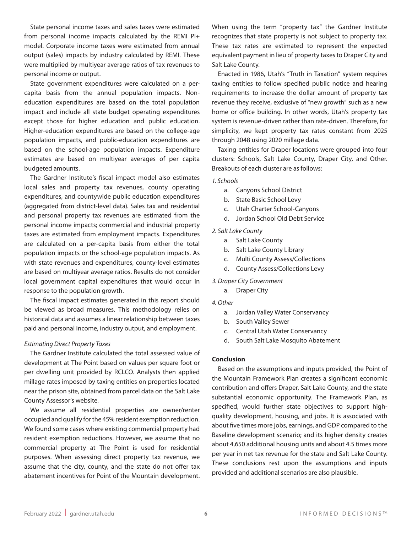State personal income taxes and sales taxes were estimated from personal income impacts calculated by the REMI PI+ model. Corporate income taxes were estimated from annual output (sales) impacts by industry calculated by REMI. These were multiplied by multiyear average ratios of tax revenues to personal income or output.

State government expenditures were calculated on a percapita basis from the annual population impacts. Noneducation expenditures are based on the total population impact and include all state budget operating expenditures except those for higher education and public education. Higher-education expenditures are based on the college-age population impacts, and public-education expenditures are based on the school-age population impacts. Expenditure estimates are based on multiyear averages of per capita budgeted amounts.

The Gardner Institute's fiscal impact model also estimates local sales and property tax revenues, county operating expenditures, and countywide public education expenditures (aggregated from district-level data). Sales tax and residential and personal property tax revenues are estimated from the personal income impacts; commercial and industrial property taxes are estimated from employment impacts. Expenditures are calculated on a per-capita basis from either the total population impacts or the school-age population impacts. As with state revenues and expenditures, county-level estimates are based on multiyear average ratios. Results do not consider local government capital expenditures that would occur in response to the population growth.

The fiscal impact estimates generated in this report should be viewed as broad measures. This methodology relies on historical data and assumes a linear relationship between taxes paid and personal income, industry output, and employment.

#### *Estimating Direct Property Taxes*

The Gardner Institute calculated the total assessed value of development at The Point based on values per square foot or per dwelling unit provided by RCLCO. Analysts then applied millage rates imposed by taxing entities on properties located near the prison site, obtained from parcel data on the Salt Lake County Assessor's website.

We assume all residential properties are owner/renter occupied and qualify for the 45% resident exemption reduction. We found some cases where existing commercial property had resident exemption reductions. However, we assume that no commercial property at The Point is used for residential purposes. When assessing direct property tax revenue, we assume that the city, county, and the state do not offer tax abatement incentives for Point of the Mountain development.

When using the term "property tax" the Gardner Institute recognizes that state property is not subject to property tax. These tax rates are estimated to represent the expected equivalent payment in lieu of property taxes to Draper City and Salt Lake County.

Enacted in 1986, Utah's "Truth in Taxation" system requires taxing entities to follow specified public notice and hearing requirements to increase the dollar amount of property tax revenue they receive, exclusive of "new growth" such as a new home or office building. In other words, Utah's property tax system is revenue-driven rather than rate-driven. Therefore, for simplicity, we kept property tax rates constant from 2025 through 2048 using 2020 millage data.

Taxing entities for Draper locations were grouped into four clusters: Schools, Salt Lake County, Draper City, and Other. Breakouts of each cluster are as follows:

*1. Schools*

- a. Canyons School District
- b. State Basic School Levy
- c. Utah Charter School-Canyons
- d. Jordan School Old Debt Service

#### *2. Salt Lake County*

- a. Salt Lake County
- b. Salt Lake County Library
- c. Multi County Assess/Collections
- d. County Assess/Collections Levy
- *3. Draper City Government*
	- a. Draper City
- *4. Other*
	- a. Jordan Valley Water Conservancy
	- b. South Valley Sewer
	- c. Central Utah Water Conservancy
	- d. South Salt Lake Mosquito Abatement

#### **Conclusion**

Based on the assumptions and inputs provided, the Point of the Mountain Framework Plan creates a significant economic contribution and offers Draper, Salt Lake County, and the state substantial economic opportunity. The Framework Plan, as specified, would further state objectives to support highquality development, housing, and jobs. It is associated with about five times more jobs, earnings, and GDP compared to the Baseline development scenario; and its higher density creates about 4,650 additional housing units and about 4.5 times more per year in net tax revenue for the state and Salt Lake County. These conclusions rest upon the assumptions and inputs provided and additional scenarios are also plausible.